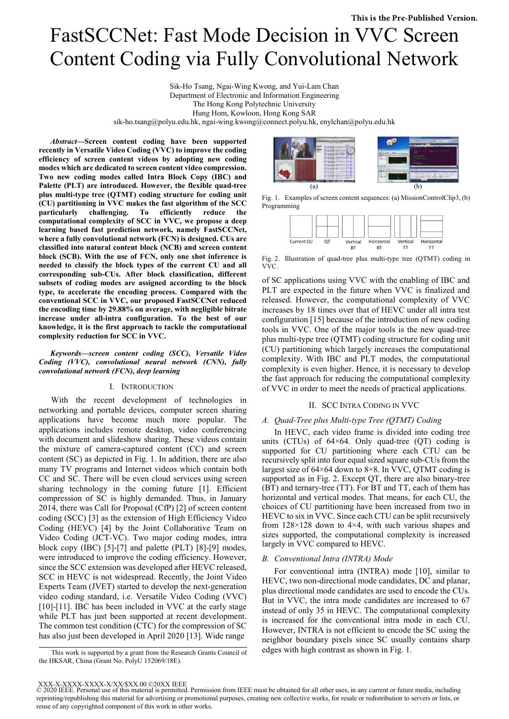# FastSCCNet: Fast Mode Decision in VVC Screen Content Coding via Fully Convolutional Network

Sik-Ho Tsang, Ngai-Wing Kwong, and Yui-Lam Chan Department of Electronic and Information Engineering The Hong Kong Polytechnic University Hung Hom, Kowloon, Hong Kong SAR sik-ho.tsang@polyu.edu.hk, ngai-wing.kwong@connect.polyu.hk, enylchan@polyu.edu.hk

*Abstract***—Screen content coding have been supported recently in Versatile Video Coding (VVC) to improve the coding efficiency of screen content videos by adopting new coding modes which are dedicated to screen content video compression. Two new coding modes called Intra Block Copy (IBC) and Palette (PLT) are introduced. However, the flexible quad-tree plus multi-type tree (QTMT) coding structure for coding unit (CU) partitioning in VVC makes the fast algorithm of the SCC particularly challenging. To efficiently reduce the computational complexity of SCC in VVC, we propose a deep learning based fast prediction network, namely FastSCCNet, where a fully convolutional network (FCN) is designed. CUs are classified into natural content block (NCB) and screen content block (SCB). With the use of FCN, only one shot inference is needed to classify the block types of the current CU and all corresponding sub-CUs. After block classification, different subsets of coding modes are assigned according to the block type, to accelerate the encoding process. Compared with the conventional SCC in VVC, our proposed FastSCCNet reduced the encoding time by 29.88% on average, with negligible bitrate increase under all-intra configuration. To the best of our knowledge, it is the first approach to tackle the computational complexity reduction for SCC in VVC.** 

*Keywords—screen content coding (SCC), Versatile Video Coding (VVC), convolutional neural network (CNN), fully convolutional network (FCN), deep learning* 

#### I. INTRODUCTION

With the recent development of technologies in networking and portable devices, computer screen sharing applications have become much more popular. The applications includes remote desktop, video conferencing with document and slideshow sharing. These videos contain the mixture of camera-captured content (CC) and screen content (SC) as depicted in Fig. 1. In addition, there are also many TV programs and Internet videos which contain both CC and SC. There will be even cloud services using screen sharing technology in the coming future [1]. Efficient compression of SC is highly demanded. Thus, in January 2014, there was Call for Proposal (CfP) [2] of screen content coding (SCC) [3] as the extension of High Efficiency Video Coding (HEVC) [4] by the Joint Collaborative Team on Video Coding (JCT-VC). Two major coding modes, intra block copy (IBC) [5]-[7] and palette (PLT) [8]-[9] modes, were introduced to improve the coding efficiency. However, since the SCC extension was developed after HEVC released, SCC in HEVC is not widespread. Recently, the Joint Video Experts Team (JVET) started to develop the next-generation video coding standard, i.e. Versatile Video Coding (VVC) [10]-[11]. IBC has been included in VVC at the early stage while PLT has just been supported at recent development. The common test condition (CTC) for the compression of SC has also just been developed in April 2020 [13]. Wide range



Fig. 1. Examples of screen content sequences: (a) MissionControlClip3, (b) Programming



Fig. 2. Illustration of quad-tree plus multi-type tree (QTMT) coding in VVC.

of SC applications using VVC with the enabling of IBC and PLT are expected in the future when VVC is finalized and released. However, the computational complexity of VVC increases by 18 times over that of HEVC under all intra test configuration [15] because of the introduction of new coding tools in VVC. One of the major tools is the new quad-tree plus multi-type tree (QTMT) coding structure for coding unit (CU) partitioning which largely increases the computational complexity. With IBC and PLT modes, the computational complexity is even higher. Hence, it is necessary to develop the fast approach for reducing the computational complexity of VVC in order to meet the needs of practical applications.

# II. SCC INTRA CODING IN VVC

# *A. Quad-Tree plus Multi-type Tree (QTMT) Coding*

In HEVC, each video frame is divided into coding tree units (CTUs) of 64×64. Only quad-tree (QT) coding is supported for CU partitioning where each CTU can be recursively split into four equal sized square sub-CUs from the largest size of  $64\times64$  down to  $8\times8$ . In VVC, QTMT coding is supported as in Fig. 2. Except QT, there are also binary-tree (BT) and ternary-tree (TT). For BT and TT, each of them has horizontal and vertical modes. That means, for each CU, the choices of CU partitioning have been increased from two in HEVC to six in VVC. Since each CTU can be split recursively from  $128 \times 128$  down to  $4 \times 4$ , with such various shapes and sizes supported, the computational complexity is increased largely in VVC compared to HEVC.

## *B. Conventional Intra (INTRA) Mode*

For conventional intra (INTRA) mode [10], similar to HEVC, two non-directional mode candidates, DC and planar, plus directional mode candidates are used to encode the CUs. But in VVC, the intra mode candidates are increased to 67 instead of only 35 in HEVC. The computational complexity is increased for the conventional intra mode in each CU. However, INTRA is not efficient to encode the SC using the neighbor boundary pixels since SC usually contains sharp

This work is supported by a grant from the Research Grants Council of edges with high contrast as shown in Fig. 1. the HKSAR, China (Grant No. PolyU 152069/18E).

XXX-X-XXXX-XXXX-X/XX/\$XX.00 ©20XX IEEE

<sup>© 2020</sup> IEEE. Personal use of this material is permitted. Permission from IEEE must be obtained for all other uses, in any current or future media, including reprinting/republishing this material for advertising or promotional purposes, creating new collective works, for resale or redistribution to servers or lists, or reuse of any copyrighted component of this work in other works.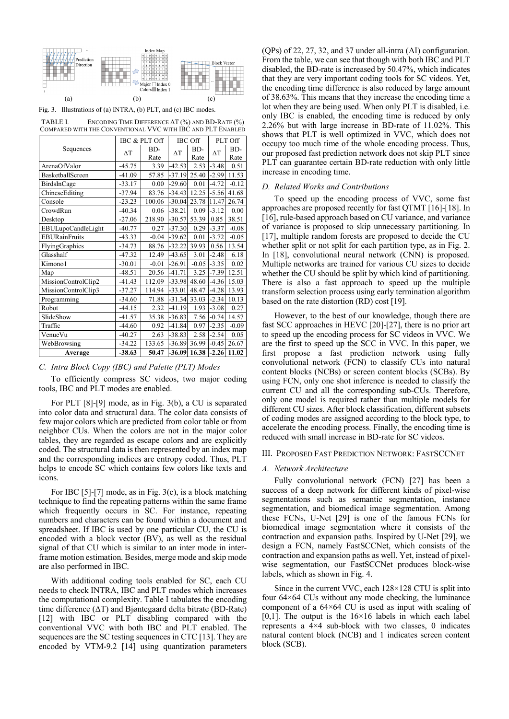

Fig. 3. Illustrations of (a) INTRA, (b) PLT, and (c) IBC modes.

TABLE I. ENCODING TIME DIFFERENCE ΔT (%) AND BD-RATE (%) COMPARED WITH THE CONVENTIONAL VVC WITH IBC AND PLT ENABLED

|                      |            | IBC & PLT Off | <b>IBC</b> Off |                | PLT Off    |         |
|----------------------|------------|---------------|----------------|----------------|------------|---------|
| Sequences            | $\Delta T$ | BD-           | $\Delta T$     | BD-            | $\Delta T$ | BD-     |
|                      |            | Rate          |                | Rate           |            | Rate    |
| ArenaOfValor         | $-45.75$   | 3.39          | $-42.53$       | 2.53           | $-3.48$    | 0.51    |
| BasketballScreen     | $-41.09$   | 57.85         | $-37.19$       | 25.40          | $-2.99$    | 11.53   |
| BirdsInCage          | $-33.17$   | 0.00          | $-29.60$       | 0.01           | $-4.72$    | $-0.12$ |
| ChineseEditing       | $-37.94$   | 83.76         | $-34.43$       | 12.25          | $-5.56$    | 41.68   |
| Console              | $-23.23$   | 100.06        | $-30.04$       | 23.78          | 11.47      | 26.74   |
| CrowdRun             | $-40.34$   | 0.06          | $-38.21$       | 0.09           | $-3.12$    | 0.00    |
| Desktop              | $-27.06$   | 218.90        | $-30.57$       | 53.39          | 0.85       | 38.51   |
| EBULupoCandleLight   | $-40.77$   | 0.27          | $-37.30$       | 0.29           | $-3.37$    | $-0.08$ |
| <b>EBURainFruits</b> | $-43.33$   | $-0.04$       | $-39.62$       | 0.01           | $-3.72$    | $-0.05$ |
| FlyingGraphics       | $-34.73$   | 88.76         | $-32.22$       | 39.93          | 0.56       | 13.54   |
| Glasshalf            | $-47.32$   | 12.49         | $-43.65$       | 3.01           | $-2.48$    | 6.18    |
| Kimono1              | $-30.01$   | $-0.01$       | $-26.91$       | $-0.05$        | $-3.35$    | 0.02    |
| Map                  | $-48.51$   | 20.56         | $-41.71$       | 3.25           | $-7.39$    | 12.51   |
| MissionControlClip2  | $-41.43$   | 112.09        | $-33.98$       | 48.60          | $-4.36$    | 15.03   |
| MissionControlClip3  | $-37.27$   | 114.94        | $-33.01$       | 48.47          | $-4.28$    | 13.93   |
| Programming          | $-34.60$   | 71.88         | $-31.34$       | 33.03          | $-2.34$    | 10.13   |
| Robot                | $-44.15$   | 2.32          | $-41.19$       | 1.93           | $-3.08$    | 0.27    |
| SlideShow            | $-41.57$   | 35.38         | $-36.83$       | 7.56           | $-0.74$    | 14.57   |
| Traffic              | $-44.60$   | 0.92          | $-41.84$       | 0.97           | $-2.35$    | $-0.09$ |
| VenueVu              | $-40.27$   | 2.63          | $-38.83$       | 2.58           | $-2.54$    | 0.05    |
| WebBrowsing          | $-34.22$   | 133.65        | $-36.89$       | 36.99          | $-0.45$    | 26.67   |
| Average              | $-38.63$   | 50.47         |                | $-36.09$ 16.38 | $-2.26$    | 11.02   |

# *C. Intra Block Copy (IBC) and Palette (PLT) Modes*

To efficiently compress SC videos, two major coding tools, IBC and PLT modes are enabled.

For PLT [8]-[9] mode, as in Fig. 3(b), a CU is separated into color data and structural data. The color data consists of few major colors which are predicted from color table or from neighbor CUs. When the colors are not in the major color tables, they are regarded as escape colors and are explicitly coded. The structural data is then represented by an index map and the corresponding indices are entropy coded. Thus, PLT helps to encode SC which contains few colors like texts and icons.

For IBC [5]-[7] mode, as in Fig. 3(c), is a block matching technique to find the repeating patterns within the same frame which frequently occurs in SC. For instance, repeating numbers and characters can be found within a document and spreadsheet. If IBC is used by one particular CU, the CU is encoded with a block vector (BV), as well as the residual signal of that CU which is similar to an inter mode in interframe motion estimation. Besides, merge mode and skip mode are also performed in IBC.

With additional coding tools enabled for SC, each CU needs to check INTRA, IBC and PLT modes which increases the computational complexity. Table I tabulates the encoding time difference (ΔT) and Bjøntegaard delta bitrate (BD-Rate) [12] with IBC or PLT disabling compared with the conventional VVC with both IBC and PLT enabled. The sequences are the SC testing sequences in CTC [13]. They are encoded by VTM-9.2 [14] using quantization parameters (QPs) of 22, 27, 32, and 37 under all-intra (AI) configuration. From the table, we can see that though with both IBC and PLT disabled, the BD-rate is increased by 50.47%, which indicates that they are very important coding tools for SC videos. Yet, the encoding time difference is also reduced by large amount of 38.63%. This means that they increase the encoding time a lot when they are being used. When only PLT is disabled, i.e. only IBC is enabled, the encoding time is reduced by only 2.26% but with large increase in BD-rate of 11.02%. This shows that PLT is well optimized in VVC, which does not occupy too much time of the whole encoding process. Thus, our proposed fast prediction network does not skip PLT since PLT can guarantee certain BD-rate reduction with only little increase in encoding time.

#### *D. Related Works and Contributions*

To speed up the encoding process of VVC, some fast approaches are proposed recently for fast QTMT [16]-[18]. In [16], rule-based approach based on CU variance, and variance of variance is proposed to skip unnecessary partitioning. In [17], multiple random forests are proposed to decide the CU whether split or not split for each partition type, as in Fig. 2. In [18], convolutional neural network (CNN) is proposed. Multiple networks are trained for various CU sizes to decide whether the CU should be split by which kind of partitioning. There is also a fast approach to speed up the multiple transform selection process using early termination algorithm based on the rate distortion (RD) cost [19].

However, to the best of our knowledge, though there are fast SCC approaches in HEVC [20]-[27], there is no prior art to speed up the encoding process for SC videos in VVC. We are the first to speed up the SCC in VVC. In this paper, we first propose a fast prediction network using fully convolutional network (FCN) to classify CUs into natural content blocks (NCBs) or screen content blocks (SCBs). By using FCN, only one shot inference is needed to classify the current CU and all the corresponding sub-CUs. Therefore, only one model is required rather than multiple models for different CU sizes. After block classification, different subsets of coding modes are assigned according to the block type, to accelerate the encoding process. Finally, the encoding time is reduced with small increase in BD-rate for SC videos.

## III. PROPOSED FAST PREDICTION NETWORK: FASTSCCNET

# *A. Network Architecture*

 Fully convolutional network (FCN) [27] has been a success of a deep network for different kinds of pixel-wise segmentations such as semantic segmentation, instance segmentation, and biomedical image segmentation. Among these FCNs, U-Net [29] is one of the famous FCNs for biomedical image segmentation where it consists of the contraction and expansion paths. Inspired by U-Net [29], we design a FCN, namely FastSCCNet, which consists of the contraction and expansion paths as well. Yet, instead of pixelwise segmentation, our FastSCCNet produces block-wise labels, which as shown in Fig. 4.

 Since in the current VVC, each 128×128 CTU is split into four 64×64 CUs without any mode checking, the luminance component of a 64×64 CU is used as input with scaling of [0,1]. The output is the  $16\times16$  labels in which each label represents a 4×4 sub-block with two classes, 0 indicates natural content block (NCB) and 1 indicates screen content block (SCB).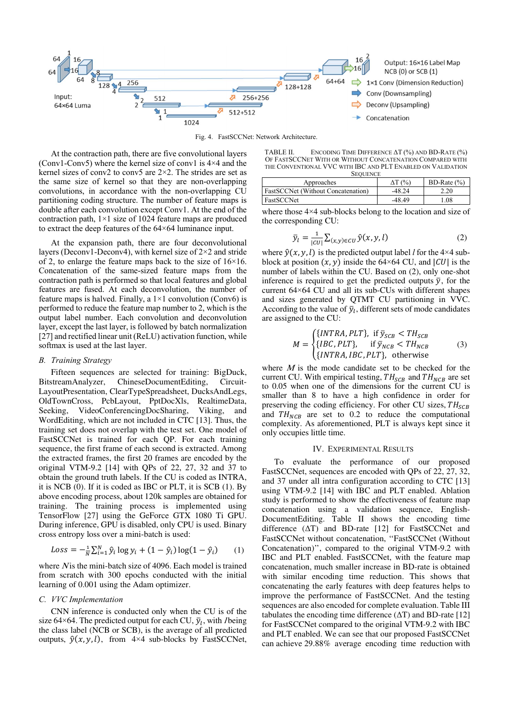

Fig. 4. FastSCCNet: Network Architecture.

 At the contraction path, there are five convolutional layers (Conv1-Conv5) where the kernel size of conv1 is  $4\times4$  and the kernel sizes of conv2 to conv5 are  $2\times 2$ . The strides are set as the same size of kernel so that they are non-overlapping convolutions, in accordance with the non-overlapping CU partitioning coding structure. The number of feature maps is double after each convolution except Conv1. At the end of the contraction path, 1×1 size of 1024 feature maps are produced to extract the deep features of the 64×64 luminance input.

 At the expansion path, there are four deconvolutional layers (Deconv1-Deconv4), with kernel size of  $2\times 2$  and stride of 2, to enlarge the feature maps back to the size of  $16\times16$ . Concatenation of the same-sized feature maps from the contraction path is performed so that local features and global features are fused. At each deconvolution, the number of feature maps is halved. Finally, a  $1\times1$  convolution (Conv6) is performed to reduce the feature map number to 2, which is the output label number. Each convolution and deconvolution layer, except the last layer, is followed by batch normalization [27] and rectified linear unit (ReLU) activation function, while softmax is used at the last layer.

#### *B. Training Strategy*

Fifteen sequences are selected for training: BigDuck, BitstreamAnalyzer, ChineseDocumentEditing, Circuit-LayoutPresentation, ClearTypeSpreadsheet, DucksAndLegs, OldTownCross, PcbLayout, PptDocXls, RealtimeData, Seeking, VideoConferencingDocSharing, Viking, and WordEditing, which are not included in CTC [13]. Thus, the training set does not overlap with the test set. One model of FastSCCNet is trained for each QP. For each training sequence, the first frame of each second is extracted. Among the extracted frames, the first 20 frames are encoded by the original VTM-9.2 [14] with QPs of 22, 27, 32 and 37 to obtain the ground truth labels. If the CU is coded as INTRA, it is NCB (0). If it is coded as IBC or PLT, it is SCB (1). By above encoding process, about 120k samples are obtained for training. The training process is implemented using TensorFlow [27] using the GeForce GTX 1080 Ti GPU. During inference, GPU is disabled, only CPU is used. Binary cross entropy loss over a mini-batch is used:

$$
Loss = -\frac{1}{N} \sum_{i=1}^{N} \hat{y}_i \log y_i + (1 - \hat{y}_i) \log(1 - \hat{y}_i)
$$
 (1)

where  $N$  is the mini-batch size of 4096. Each model is trained from scratch with 300 epochs conducted with the initial learning of 0.001 using the Adam optimizer.

### *C. VVC Implementation*

CNN inference is conducted only when the CU is of the size 64×64. The predicted output for each CU,  $\bar{y}_l$ , with *l* being the class label (NCB or SCB), is the average of all predicted outputs,  $\hat{y}(x, y, l)$ , from 4×4 sub-blocks by FastSCCNet,

TABLE II. ENCODING TIME DIFFERENCE ΔT (%) AND BD-RATE (%) OF FASTSCCNET WITH OR WITHOUT CONCATENATION COMPARED WITH THE CONVENTIONAL VVC WITH IBC AND PLT ENABLED ON VALIDATION

| <b>SEQUENCE</b>                           |          |                 |  |  |  |  |
|-------------------------------------------|----------|-----------------|--|--|--|--|
| Approaches                                | AT (%)   | BD-Rate $(\% )$ |  |  |  |  |
| <b>FastSCCNet (Without Concatenation)</b> | $-48.24$ | 2.20            |  |  |  |  |
| FastSCCNet                                | $-4849$  | .08             |  |  |  |  |

where those 4×4 sub-blocks belong to the location and size of the corresponding CU:

$$
\overline{y}_l = \frac{1}{|CU|} \sum_{(x,y)\in CU} \hat{y}(x,y,l)
$$
 (2)

where  $\hat{y}(x, y, l)$  is the predicted output label *l* for the 4×4 subblock at position  $(x, y)$  inside the 64×64 CU, and  $|CU|$  is the number of labels within the CU. Based on (2), only one-shot inference is required to get the predicted outputs  $\bar{y}$ , for the current 64×64 CU and all its sub-CUs with different shapes and sizes generated by QTMT CU partitioning in VVC. According to the value of  $\bar{y}_l$ , different sets of mode candidates are assigned to the CU:

$$
M = \begin{cases} \{INTRA, PLT\}, & \text{if } \bar{y}_{SCB} < TH_{SCB} \\ \{IBC, PLT\}, & \text{if } \bar{y}_{NCB} < TH_{NCB} \\ \{INTRA, IBC, PLT\}, & \text{otherwise} \end{cases} \tag{3}
$$

where  $M$  is the mode candidate set to be checked for the current CU. With empirical testing,  $TH_{SCB}$  and  $TH_{NCB}$  are set to 0.05 when one of the dimensions for the current CU is smaller than 8 to have a high confidence in order for preserving the coding efficiency. For other CU sizes,  $TH_{SCB}$ and  $TH_{NCB}$  are set to 0.2 to reduce the computational complexity. As aforementioned, PLT is always kept since it only occupies little time.

### IV. EXPERIMENTAL RESULTS

To evaluate the performance of our proposed FastSCCNet, sequences are encoded with QPs of 22, 27, 32, and 37 under all intra configuration according to CTC [13] using VTM-9.2 [14] with IBC and PLT enabled. Ablation study is performed to show the effectiveness of feature map concatenation using a validation sequence, English-DocumentEditing. Table II shows the encoding time difference (ΔT) and BD-rate [12] for FastSCCNet and FastSCCNet without concatenation, ''FastSCCNet (Without Concatenation)'', compared to the original VTM-9.2 with IBC and PLT enabled. FastSCCNet, with the feature map concatenation, much smaller increase in BD-rate is obtained with similar encoding time reduction. This shows that concatenating the early features with deep features helps to improve the performance of FastSCCNet. And the testing sequences are also encoded for complete evaluation. Table III tabulates the encoding time difference  $(ΔT)$  and BD-rate [12] for FastSCCNet compared to the original VTM-9.2 with IBC and PLT enabled. We can see that our proposed FastSCCNet can achieve 29.88% average encoding time reduction with